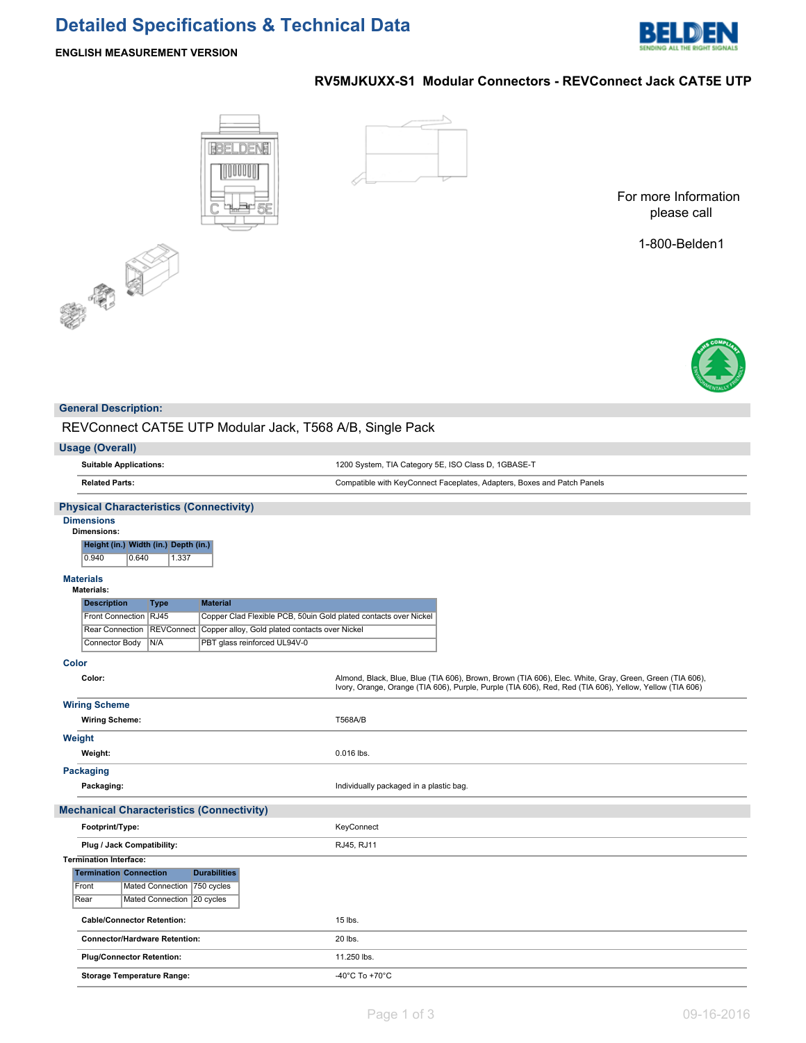# **Detailed Specifications & Technical Data**



# **ENGLISH MEASUREMENT VERSION**

# **BBELDENE** IIUUI



**RV5MJKUXX-S1 Modular Connectors - REVConnect Jack CAT5E UTP**

For more Information please call

1-800-Belden1



# **General Description:**

REVConnect CAT5E UTP Modular Jack, T568 A/B, Single Pack

| <b>Usage (Overall)</b>                                                                    |                                                                                                                                                                                                                    |
|-------------------------------------------------------------------------------------------|--------------------------------------------------------------------------------------------------------------------------------------------------------------------------------------------------------------------|
| <b>Suitable Applications:</b>                                                             | 1200 System, TIA Category 5E, ISO Class D, 1GBASE-T                                                                                                                                                                |
| <b>Related Parts:</b>                                                                     | Compatible with KeyConnect Faceplates, Adapters, Boxes and Patch Panels                                                                                                                                            |
| <b>Physical Characteristics (Connectivity)</b>                                            |                                                                                                                                                                                                                    |
| <b>Dimensions</b><br>Dimensions:<br>Height (in.) Width (in.) Depth (in.)                  |                                                                                                                                                                                                                    |
| 1.337<br>0.940<br>0.640                                                                   |                                                                                                                                                                                                                    |
| <b>Materials</b><br><b>Materials:</b>                                                     |                                                                                                                                                                                                                    |
| <b>Description</b><br><b>Material</b><br><b>Type</b>                                      |                                                                                                                                                                                                                    |
| Front Connection RJ45<br>Copper Clad Flexible PCB, 50uin Gold plated contacts over Nickel |                                                                                                                                                                                                                    |
| REVConnect<br><b>Rear Connection</b><br>Copper alloy, Gold plated contacts over Nickel    |                                                                                                                                                                                                                    |
| PBT glass reinforced UL94V-0<br>Connector Body<br>N/A                                     |                                                                                                                                                                                                                    |
| <b>Color</b>                                                                              |                                                                                                                                                                                                                    |
| Color:                                                                                    | Almond, Black, Blue, Blue (TIA 606), Brown, Brown (TIA 606), Elec. White, Gray, Green, Green (TIA 606),<br>Ivory, Orange, Orange (TIA 606), Purple, Purple (TIA 606), Red, Red (TIA 606), Yellow, Yellow (TIA 606) |
| <b>Wiring Scheme</b>                                                                      |                                                                                                                                                                                                                    |
| <b>Wiring Scheme:</b>                                                                     | T568A/B                                                                                                                                                                                                            |
| Weight                                                                                    |                                                                                                                                                                                                                    |
| Weight:                                                                                   | 0.016 lbs.                                                                                                                                                                                                         |
| <b>Packaging</b>                                                                          |                                                                                                                                                                                                                    |
| Packaging:                                                                                | Individually packaged in a plastic bag.                                                                                                                                                                            |
| <b>Mechanical Characteristics (Connectivity)</b>                                          |                                                                                                                                                                                                                    |
| Footprint/Type:                                                                           | KeyConnect                                                                                                                                                                                                         |
| Plug / Jack Compatibility:                                                                | RJ45, RJ11                                                                                                                                                                                                         |
| <b>Termination Interface:</b>                                                             |                                                                                                                                                                                                                    |
| <b>Durabilities</b><br><b>Termination Connection</b>                                      |                                                                                                                                                                                                                    |
| Front<br>Mated Connection<br>750 cycles<br>Mated Connection<br>Rear                       |                                                                                                                                                                                                                    |
| 20 cycles                                                                                 |                                                                                                                                                                                                                    |
| <b>Cable/Connector Retention:</b>                                                         | 15 lbs.                                                                                                                                                                                                            |
| <b>Connector/Hardware Retention:</b>                                                      | 20 lbs.                                                                                                                                                                                                            |
| <b>Plug/Connector Retention:</b>                                                          | 11.250 lbs.                                                                                                                                                                                                        |
| <b>Storage Temperature Range:</b>                                                         | -40°C To +70°C                                                                                                                                                                                                     |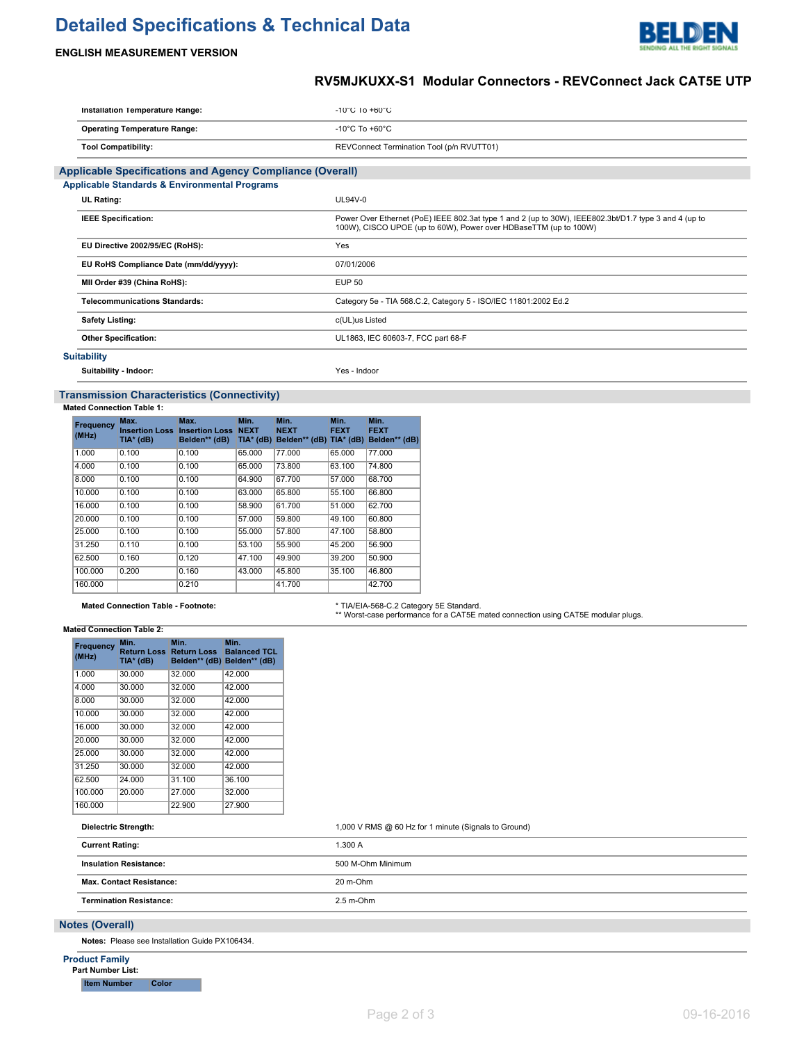# **Detailed Specifications & Technical Data**



# **ENGLISH MEASUREMENT VERSION**

# **RV5MJKUXX-S1 Modular Connectors - REVConnect Jack CAT5E UTP**

| Installation Temperature Range:                                  | $-10^{\circ}$ C 10 $+60^{\circ}$ C                                                                                                                                        |
|------------------------------------------------------------------|---------------------------------------------------------------------------------------------------------------------------------------------------------------------------|
| <b>Operating Temperature Range:</b>                              | -10 $^{\circ}$ C To +60 $^{\circ}$ C                                                                                                                                      |
| <b>Tool Compatibility:</b>                                       | REVConnect Termination Tool (p/n RVUTT01)                                                                                                                                 |
| <b>Applicable Specifications and Agency Compliance (Overall)</b> |                                                                                                                                                                           |
| <b>Applicable Standards &amp; Environmental Programs</b>         |                                                                                                                                                                           |
| <b>UL Rating:</b>                                                | $UL94V-0$                                                                                                                                                                 |
| <b>IEEE Specification:</b>                                       | Power Over Ethernet (PoE) IEEE 802.3at type 1 and 2 (up to 30W), IEEE802.3bt/D1.7 type 3 and 4 (up to<br>100W), CISCO UPOE (up to 60W), Power over HDBaseTTM (up to 100W) |
| EU Directive 2002/95/EC (RoHS):                                  | Yes                                                                                                                                                                       |
| EU RoHS Compliance Date (mm/dd/yyyy):                            | 07/01/2006                                                                                                                                                                |
| MII Order #39 (China RoHS):                                      | <b>EUP 50</b>                                                                                                                                                             |
| <b>Telecommunications Standards:</b>                             | Category 5e - TIA 568.C.2, Category 5 - ISO/IEC 11801:2002 Ed.2                                                                                                           |
| <b>Safety Listing:</b>                                           | c(UL)us Listed                                                                                                                                                            |
| <b>Other Specification:</b>                                      | UL1863, IEC 60603-7, FCC part 68-F                                                                                                                                        |
| <b>Suitability</b>                                               |                                                                                                                                                                           |

**Suitability - Indoor:** Yes - Indoor

# **Transmission Characteristics (Connectivity)**

**Mated Connection Table 1:**

| Frequency<br>(MHz) | Max.<br><b>Insertion Loss</b><br>TIA* (dB) | Max.<br><b>Insertion Loss NEXT</b><br>Belden** (dB) | Min.<br>$TIA*$ (dB) | Min.<br><b>NEXT</b><br>Belden** (dB) TIA* (dB) | Min.<br><b>FEXT</b> | Min.<br><b>FEXT</b><br>Belden** (dB) |
|--------------------|--------------------------------------------|-----------------------------------------------------|---------------------|------------------------------------------------|---------------------|--------------------------------------|
| 1.000              | 0.100                                      | 0.100                                               | 65.000              | 77.000                                         | 65.000              | 77.000                               |
| 4.000              | 0.100                                      | 0.100                                               | 65,000              | 73.800                                         | 63.100              | 74.800                               |
| 8.000              | 0.100                                      | 0.100                                               | 64.900              | 67.700                                         | 57.000              | 68.700                               |
| 10.000             | 0.100                                      | 0.100                                               | 63.000              | 65.800                                         | 55.100              | 66,800                               |
| 16.000             | 0.100                                      | 0.100                                               | 58.900              | 61.700                                         | 51.000              | 62.700                               |
| 20.000             | 0.100                                      | 0.100                                               | 57.000              | 59.800                                         | 49.100              | 60.800                               |
| 25.000             | 0.100                                      | 0.100                                               | 55,000              | 57.800                                         | 47.100              | 58,800                               |
| 31.250             | 0.110                                      | 0.100                                               | 53.100              | 55.900                                         | 45.200              | 56,900                               |
| 62.500             | 0.160                                      | 0.120                                               | 47.100              | 49.900                                         | 39.200              | 50.900                               |
| 100.000            | 0.200                                      | 0.160                                               | 43.000              | 45.800                                         | 35.100              | 46,800                               |
| 160,000            |                                            | 0.210                                               |                     | 41.700                                         |                     | 42.700                               |

# Mated Connection Table - Footnote: **\* TIA/EIA-568-C.2 Category 5E Standard**.<br>\*\* Worst-case performance for a CAT5E mated connection using CAT5E modular plugs.

#### **Mated Connection Table 2:**

| Frequency<br>(MHz) | Min.<br><b>Return Loss</b><br>TIA* (dB) | Min.<br><b>Return Loss</b> | Min.<br><b>Balanced TCL</b><br>Belden** (dB) Belden** (dB) |
|--------------------|-----------------------------------------|----------------------------|------------------------------------------------------------|
| 1.000              | 30.000                                  | 32.000                     | 42.000                                                     |
| 4.000              | 30.000                                  | 32.000                     | 42.000                                                     |
| 8.000              | 30.000                                  | 32.000                     | 42.000                                                     |
| 10.000             | 30.000                                  | 32.000                     | 42.000                                                     |
| 16.000             | 30.000                                  | 32.000                     | 42.000                                                     |
| 20.000             | 30.000                                  | 32.000                     | 42.000                                                     |
| 25.000             | 30.000                                  | 32.000                     | 42.000                                                     |
| 31.250             | 30.000                                  | 32.000                     | 42.000                                                     |
| 62.500             | 24.000                                  | 31.100                     | 36.100                                                     |
| 100.000            | 20.000                                  | 27.000                     | 32.000                                                     |
| 160.000            |                                         | 22.900                     | 27.900                                                     |

#### **Dielectric Strength:** 1,000 V RMS @ 60 Hz for 1 minute (Signals to Ground)

| <b>Current Rating:</b>          | 1.300 A           |
|---------------------------------|-------------------|
| <b>Insulation Resistance:</b>   | 500 M-Ohm Minimum |
| <b>Max. Contact Resistance:</b> | 20 m-Ohm          |
| <b>Termination Resistance:</b>  | $2.5$ m-Ohm       |
|                                 |                   |

### **Notes (Overall)**

**Notes:** Please see Installation Guide PX106434.

| <b>Product Family</b>    |       |
|--------------------------|-------|
| <b>Part Number List:</b> |       |
| <b>Item Number</b>       | Color |